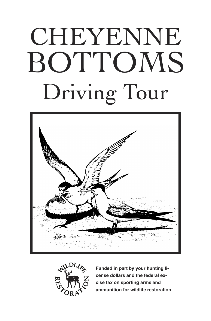# CHEYENNE BOTTOMS Driving Tour





**Funded in part by your hunting license dollars and the federal excise tax on sporting arms and ammunition for wildlife restoration**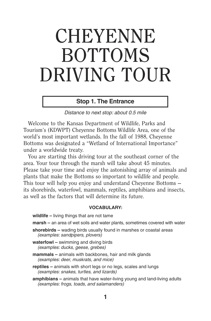# CHEYENNE BOTTOMS DRIVING TOUR

# **Stop 1. The Entrance**

Distance to next stop: about 0.5 mile

 Welcome to the Kansas Department of Wildlife, Parks and Tourism's (KDWPT) Cheyenne Bottoms Wildlife Area, one of the world's most important wetlands. In the fall of 1988, Cheyenne Bottoms was designated a "Wetland of International Importance" under a worldwide treaty.

 You are starting this driving tour at the southeast corner of the area. Your tour through the marsh will take about 45 minutes. Please take your time and enjoy the astonishing array of animals and plants that make the Bottoms so important to wildlife and people. This tour will help you enjoy and understand Cheyenne Bottoms its shorebirds, waterfowl, mammals, reptiles, amphibians and insects, as well as the factors that will determine its future.

# **VOCABULARY:**

 **wildlife –** living things that are not tame

**marsh –** an area of wet soils and water plants, sometimes covered with water

 **shorebirds –** wading birds usually found in marshes or coastal areas (examples: sandpipers, plovers)

- **waterfowl** swimming and diving birds (examples: ducks, geese, grebes)
- **mammals** animals with backbones, hair and milk glands (examples: deer, muskrats, and mice)
- **reptiles** animals with short legs or no legs, scales and lungs (examples: snakes, turtles, and lizards)
- **amphibians** animals that have water-living young and land-living adults (examples: frogs, toads, and salamanders)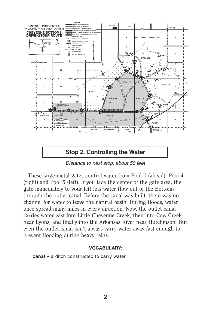

Distance to next stop: about 50 feet

 These large metal gates control water from Pool 1 (ahead), Pool 4 (right) and Pool 5 (left). If you face the center of the gate area, the gate immediately to your left lets water flow out of the Bottoms through the outlet canal. Before the canal was built, there was no channel for water to leave the natural basin. During floods, water once spread many miles in every direction. Now, the outlet canal carries water east into Little Cheyenne Creek, then into Cow Creek near Lyons, and finally into the Arkansas River near Hutchinson. But even the outlet canal can't always carry water away fast enough to prevent flooding during heavy rains.

## **VOCABULARY:**

 **canal –** a ditch constructed to carry water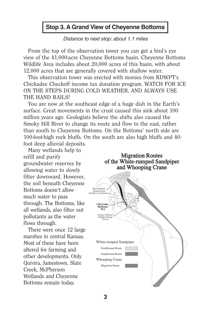# **Stop 3. A Grand View of Cheyenne Bottoms**

# Distance to next stop: about 1.1 miles

 From the top of the observation tower you can get a bird's eye view of the 41,000-acre Cheyenne Bottoms basin. Cheyenne Bottoms Wildlife Area includes about 20,000 acres of this basin, with about 12,000 acres that are generally covered with shallow water.

 This observation tower was erected with monies from KDWPT's Chickadee Checkoff income tax donation program. WATCH FOR ICE ON THE STEPS DURING COLD WEATHER, AND ALWAYS USE THE HAND RAILS!

 You are now at the southeast edge of a huge dish in the Earth's surface. Great movements in the crust caused this sink about 100 million years ago. Geologists believe the shifts also caused the Smoky Hill River to change its route and flow to the east, rather than south to Cheyenne Bottoms. On the Bottoms' north side are 100-foot-high rock bluffs. On the south are also high bluffs and 40 foot deep alluvial deposits.

 Many wetlands help to refill and purify groundwater reserves by allowing water to slowly filter downward. However, the soil beneath Cheyenne Bottoms doesn't allow much water to pass through. The Bottoms, like all wetlands, also filter out pollutants as the water flows through.

 There were once 12 large marshes in central Kansas. Most of these have been altered for farming and other developments. Only Quivira, Jamestown, Slate Creek, McPherson Wetlands and Cheyenne Bottoms remain today.

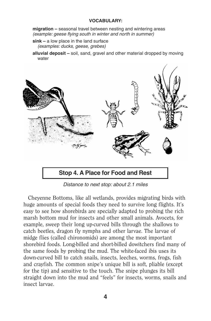#### **VOCABULARY:**

 **migration –** seasonal travel between nesting and wintering areas (example: geese flying south in winter and north in summer)

- **sink** a low place in the land surface (examples: ducks, geese, grebes)
- **alluvial deposit** soil, sand, gravel and other material dropped by moving water



Distance to next stop: about 2.1 miles

 Cheyenne Bottoms, like all wetlands, provides migrating birds with huge amounts of special foods they need to survive long flights. It's easy to see how shorebirds are specially adapted to probing the rich marsh bottom mud for insects and other small animals. Avocets, for example, sweep their long up-curved bills through the shallows to catch beetles, dragon fly nymphs and other larvae. The larvae of midge flies (called chironomids) are among the most important shorebird foods. Long-billed and short-billed dowitchers find many of the same foods by probing the mud. The white-faced ibis uses its down-curved bill to catch snails, insects, leeches, worms, frogs, fish and crayfish. The common snipe's unique bill is soft, pliable (except for the tip) and sensitive to the touch. The snipe plunges its bill straight down into the mud and "feels" for insects, worms, snails and insect larvae.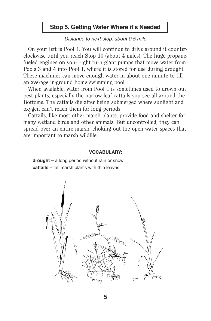# **Stop 5. Getting Water Where it's Needed**

# Distance to next stop: about 0.5 mile

 On your left is Pool 1. You will continue to drive around it counterclockwise until you reach Stop 10 (about 4 miles). The huge propanefueled engines on your right turn giant pumps that move water from Pools 3 and 4 into Pool 1, where it is stored for use during drought. These machines can move enough water in about one minute to fill an average in-ground home swimming pool.

 When available, water from Pool 1 is sometimes used to drown out pest plants, especially the narrow leaf cattails you see all around the Bottoms. The cattails die after being submerged where sunlight and oxygen can't reach them for long periods.

 Cattails, like most other marsh plants, provide food and shelter for many wetland birds and other animals. But uncontrolled, they can spread over an entire marsh, choking out the open water spaces that are important to marsh wildlife.

#### **VOCABULARY:**

 **drought –** a long period without rain or snow **cattails –** tall marsh plants with thin leaves

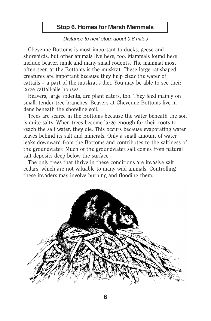# **Stop 6. Homes for Marsh Mammals**

## Distance to next stop: about 0.6 miles

 Cheyenne Bottoms is most important to ducks, geese and shorebirds, but other animals live here, too. Mammals found here include beaver, mink and many small rodents. The mammal most often seen at the Bottoms is the muskrat. These large rat-shaped creatures are important because they help clear the water of cattails – a part of the muskrat's diet. You may be able to see their large cattail-pile houses.

 Beavers, large rodents, are plant eaters, too. They feed mainly on small, tender tree branches. Beavers at Cheyenne Bottoms live in dens beneath the shoreline soil.

 Trees are scarce in the Bottoms because the water beneath the soil is quite salty. When trees become large enough for their roots to reach the salt water, they die. This occurs because evaporating water leaves behind its salt and minerals. Only a small amount of water leaks downward from the Bottoms and contributes to the saltiness of the groundwater. Much of the groundwater salt comes from natural salt deposits deep below the surface.

 The only trees that thrive in these conditions are invasive salt cedars, which are not valuable to many wild animals. Controlling these invaders may involve burning and flooding them.

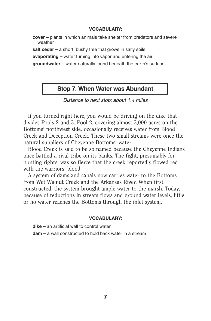#### **VOCABULARY:**

 **cover –** plants in which animals take shelter from predators and severe weather

salt cedar – a short, bushy tree that grows in salty soils

**evaporating –** water turning into vapor and entering the air

**groundwater –** water naturally found beneath the earth's surface

# **Stop 7. When Water was Abundant**

Distance to next stop: about 1.4 miles

 If you turned right here, you would be driving on the dike that divides Pools 2 and 3. Pool 2, covering almost 3,000 acres on the Bottoms' northwest side, occasionally receives water from Blood Creek and Deception Creek. These two small streams were once the natural suppliers of Cheyenne Bottoms' water.

 Blood Creek is said to be so named because the Cheyenne Indians once battled a rival tribe on its banks. The fight, presumably for hunting rights, was so fierce that the creek reportedly flowed red with the warriors' blood.

 A system of dams and canals now carries water to the Bottoms from Wet Walnut Creek and the Arkansas River. When first constructed, the system brought ample water to the marsh. Today, because of reductions in stream flows and ground water levels, little or no water reaches the Bottoms through the inlet system.

#### **VOCABULARY:**

 **dike –** an artificial wall to control water

**dam –** a wall constructed to hold back water in a stream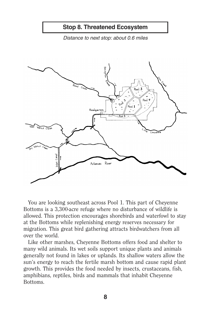

Distance to next stop: about 0.6 miles



 You are looking southeast across Pool 1. This part of Cheyenne Bottoms is a 3,300-acre refuge where no disturbance of wildlife is allowed. This protection encourages shorebirds and waterfowl to stay at the Bottoms while replenishing energy reserves necessary for migration. This great bird gathering attracts birdwatchers from all over the world.

 Like other marshes, Cheyenne Bottoms offers food and shelter to many wild animals. Its wet soils support unique plants and animals generally not found in lakes or uplands. Its shallow waters allow the sun's energy to reach the fertile marsh bottom and cause rapid plant growth. This provides the food needed by insects, crustaceans, fish, amphibians, reptiles, birds and mammals that inhabit Cheyenne Bottoms.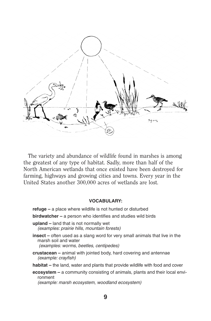

 The variety and abundance of wildlife found in marshes is among the greatest of any type of habitat. Sadly, more than half of the North American wetlands that once existed have been destroyed for farming, highways and growing cities and towns. Every year in the United States another 300,000 acres of wetlands are lost.

#### **VOCABULARY:**

 **refuge –** a place where wildlife is not hunted or disturbed **birdwatcher –** a person who identifies and studies wild birds **upland –** land that is not normally wet (examples: prairie hills, mountain forests) **insect –** often used as a slang word for very small animals that live in the marsh soil and water (examples: worms, beetles, centipedes) **crustacean –** animal with jointed body, hard covering and antennae (example: crayfish) **habitat –** the land, water and plants that provide wildlife with food and cover **ecosystem –** a community consisting of animals, plants and their local envi-

ronment (example: marsh ecosystem, woodland ecosystem)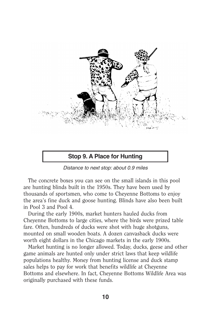

Distance to next stop: about 0.9 miles

 The concrete boxes you can see on the small islands in this pool are hunting blinds built in the 1950s. They have been used by thousands of sportsmen, who come to Cheyenne Bottoms to enjoy the area's fine duck and goose hunting. Blinds have also been built in Pool 3 and Pool 4.

 During the early 1900s, market hunters hauled ducks from Cheyenne Bottoms to large cities, where the birds were prized table fare. Often, hundreds of ducks were shot with huge shotguns, mounted on small wooden boats. A dozen canvasback ducks were worth eight dollars in the Chicago markets in the early 1900s.

 Market hunting is no longer allowed. Today, ducks, geese and other game animals are hunted only under strict laws that keep wildlife populations healthy. Money from hunting license and duck stamp sales helps to pay for work that benefits wildlife at Cheyenne Bottoms and elsewhere. In fact, Cheyenne Bottoms Wildlife Area was originally purchased with these funds.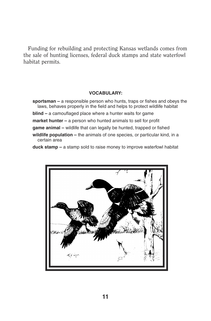Funding for rebuilding and protecting Kansas wetlands comes from the sale of hunting licenses, federal duck stamps and state waterfowl habitat permits.

#### **VOCABULARY:**

- **sportsman** a responsible person who hunts, traps or fishes and obeys the laws, behaves properly in the field and helps to protect wildlife habitat
- **blind** a camouflaged place where a hunter waits for game
- **market hunter** a person who hunted animals to sell for profit
- **game animal** wildlife that can legally be hunted, trapped or fished
- **wildlife population –** the animals of one species, or particular kind, in a certain area

**duck stamp –** a stamp sold to raise money to improve waterfowl habitat

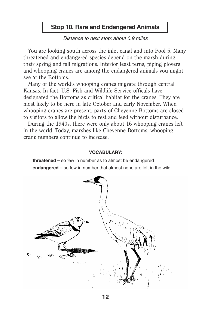# **Stop 10. Rare and Endangered Animals**

Distance to next stop: about 0.9 miles

 You are looking south across the inlet canal and into Pool 5. Many threatened and endangered species depend on the marsh during their spring and fall migrations. Interior least terns, piping plovers and whooping cranes are among the endangered animals you might see at the Bottoms.

 Many of the world's whooping cranes migrate through central Kansas. In fact, U.S. Fish and Wildlife Service officals have designated the Bottoms as critical habitat for the cranes. They are most likely to be here in late October and early November. When whooping cranes are present, parts of Cheyenne Bottoms are closed to visitors to allow the birds to rest and feed without disturbance.

 During the 1940s, there were only about 16 whooping cranes left in the world. Today, marshes like Cheyenne Bottoms, whooping crane numbers continue to increase.

#### **VOCABULARY:**

 **threatened –** so few in number as to almost be endangered **endangered –** so few in number that almost none are left in the wild

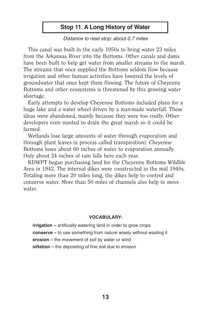# **Stop 11. A Long History of Water**

# Distance to next stop: about 0.7 miles

 This canal was built in the early 1950s to bring water 23 miles from the Arkansas River into the Bottoms. Other canals and dams have been built to help get water from smaller streams to the marsh. The streams that once supplied the Bottoms seldom flow because irrigation and other human activities have lowered the levels of groundwater that once kept them flowing. The future of Cheyenne Bottoms and other ecosystems is threatened by this growing water shortage.

 Early attempts to develop Cheyenne Bottoms included plans for a huge lake and a water wheel driven by a man-made waterfall. These ideas were abandoned, mainly because they were too costly. Other developers even wanted to drain the great marsh so it could be farmed.

 Wetlands lose large amounts of water through evaporation and through plant leaves (a process called transpiration). Cheyenne Bottoms loses about 60 inches of water to evaporation annually. Only about 24 inches of rain falls here each year.

 KDWPT began purchasing land for the Cheyenne Bottoms Wildlife Area in 1942. The internal dikes were constructed in the mid 1940s. Totaling more than 20 miles long, the dikes help to control and conserve water. More than 50 miles of channels also help to move water.

#### **VOCABULARY:**

**irrigation** – artificially watering land in order to grow crops **conserve –** to use something from nature wisely without wasting it **erosion –** the movement of soil by water or wind **siltation –** the depositing of fine soil due to erosion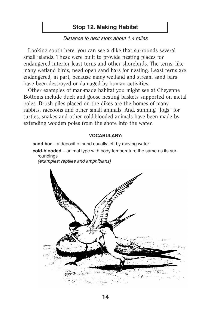# **Stop 12. Making Habitat**

# Distance to next stop: about 1.4 miles

 Looking south here, you can see a dike that surrounds several small islands. These were built to provide nesting places for endangered interior least terns and other shorebirds. The terns, like many wetland birds, need open sand bars for nesting. Least terns are endangered, in part, because many wetland and stream sand bars have been destroyed or damaged by human activities.

 Other examples of man-made habitat you might see at Cheyenne Bottoms include duck and goose nesting baskets supported on metal poles. Brush piles placed on the dikes are the homes of many rabbits, raccoons and other small animals. And, sunning "logs" for turtles, snakes and other cold-blooded animals have been made by extending wooden poles from the shore into the water.

#### **VOCABULARY:**

 **sand bar –** a deposit of sand usually left by moving water **cold-blooded–** animal type with body temperature the same as its surroundings

(examples: reptiles and amphibians)